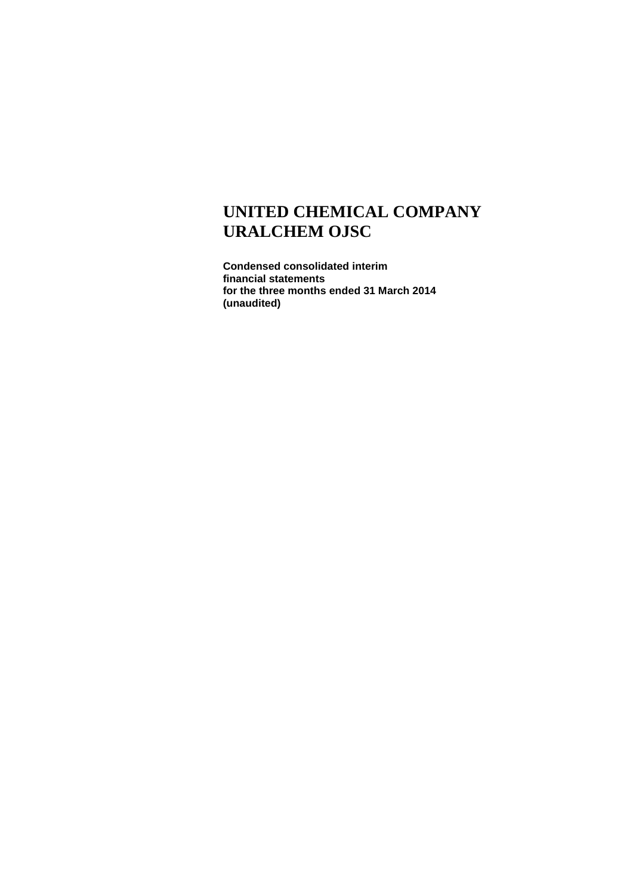**Condensed consolidated interim financial statements for the three months ended 31 March 2014 (unaudited)**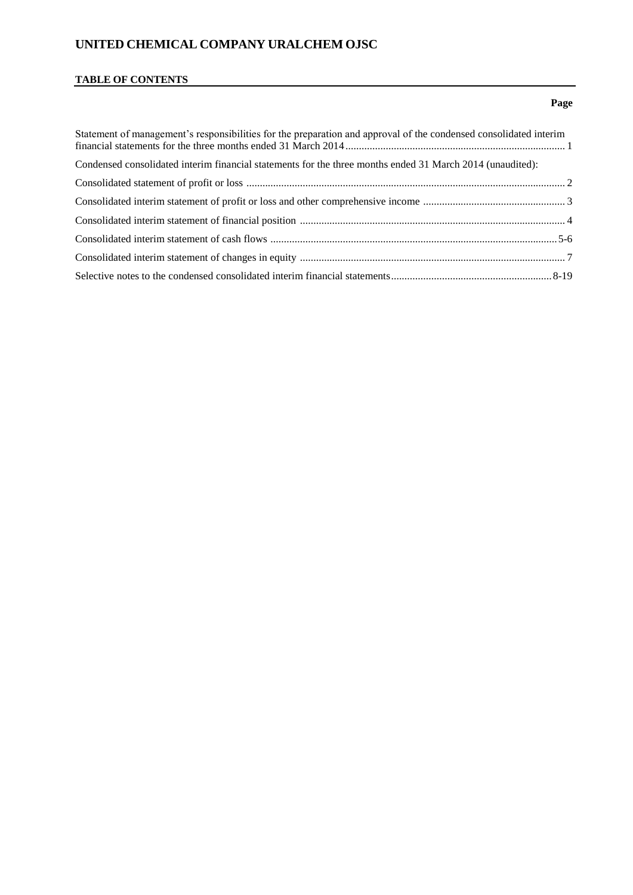# **TABLE OF CONTENTS**

### **Page**

| Statement of management's responsibilities for the preparation and approval of the condensed consolidated interim |  |
|-------------------------------------------------------------------------------------------------------------------|--|
| Condensed consolidated interim financial statements for the three months ended 31 March 2014 (unaudited):         |  |
|                                                                                                                   |  |
|                                                                                                                   |  |
|                                                                                                                   |  |
|                                                                                                                   |  |
|                                                                                                                   |  |
|                                                                                                                   |  |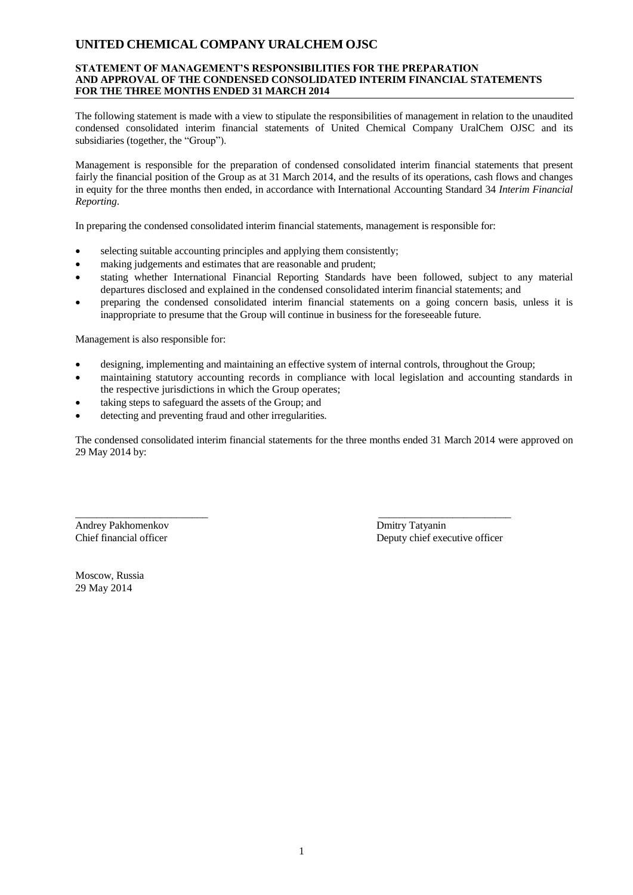#### **STATEMENT OF MANAGEMENT'S RESPONSIBILITIES FOR THE PREPARATION AND APPROVAL OF THE CONDENSED CONSOLIDATED INTERIM FINANCIAL STATEMENTS FOR THE THREE MONTHS ENDED 31 MARCH 2014**

The following statement is made with a view to stipulate the responsibilities of management in relation to the unaudited condensed consolidated interim financial statements of United Chemical Company UralChem OJSC and its subsidiaries (together, the "Group").

Management is responsible for the preparation of condensed consolidated interim financial statements that present fairly the financial position of the Group as at 31 March 2014, and the results of its operations, cash flows and changes in equity for the three months then ended, in accordance with International Accounting Standard 34 *Interim Financial Reporting*.

In preparing the condensed consolidated interim financial statements, management is responsible for:

- selecting suitable accounting principles and applying them consistently;
- making judgements and estimates that are reasonable and prudent;
- stating whether International Financial Reporting Standards have been followed, subject to any material departures disclosed and explained in the condensed consolidated interim financial statements; and
- preparing the condensed consolidated interim financial statements on a going concern basis, unless it is inappropriate to presume that the Group will continue in business for the foreseeable future.

Management is also responsible for:

designing, implementing and maintaining an effective system of internal controls, throughout the Group;

\_\_\_\_\_\_\_\_\_\_\_\_\_\_\_\_\_\_\_\_\_\_\_\_\_ \_\_\_\_\_\_\_\_\_\_\_\_\_\_\_\_\_\_\_\_\_\_\_\_\_

- maintaining statutory accounting records in compliance with local legislation and accounting standards in the respective jurisdictions in which the Group operates;
- taking steps to safeguard the assets of the Group; and
- detecting and preventing fraud and other irregularities.

The condensed consolidated interim financial statements for the three months ended 31 March 2014 were approved on 29 May 2014 by:

Andrey Pakhomenkov Dmitry Tatyanin

Chief financial officer Deputy chief executive officer

Moscow, Russia 29 May 2014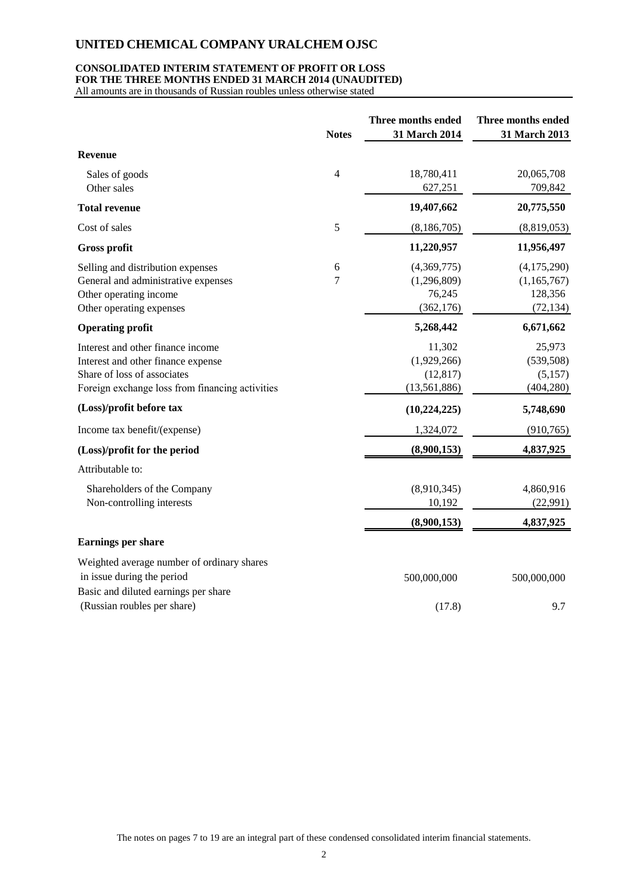#### **CONSOLIDATED INTERIM STATEMENT OF PROFIT OR LOSS FOR THE THREE MONTHS ENDED 31 MARCH 2014 (UNAUDITED)**

All amounts are in thousands of Russian roubles unless otherwise stated

|                                                                                                                                                           | <b>Notes</b>   | Three months ended<br>31 March 2014                  | Three months ended<br>31 March 2013                |
|-----------------------------------------------------------------------------------------------------------------------------------------------------------|----------------|------------------------------------------------------|----------------------------------------------------|
| <b>Revenue</b>                                                                                                                                            |                |                                                      |                                                    |
| Sales of goods<br>Other sales                                                                                                                             | $\overline{4}$ | 18,780,411<br>627,251                                | 20,065,708<br>709,842                              |
| <b>Total revenue</b>                                                                                                                                      |                | 19,407,662                                           | 20,775,550                                         |
| Cost of sales                                                                                                                                             | 5              | (8,186,705)                                          | (8,819,053)                                        |
| <b>Gross profit</b>                                                                                                                                       |                | 11,220,957                                           | 11,956,497                                         |
| Selling and distribution expenses<br>General and administrative expenses<br>Other operating income<br>Other operating expenses                            | 6<br>7         | (4,369,775)<br>(1,296,809)<br>76,245<br>(362, 176)   | (4,175,290)<br>(1,165,767)<br>128,356<br>(72, 134) |
| <b>Operating profit</b>                                                                                                                                   |                | 5,268,442                                            | 6,671,662                                          |
| Interest and other finance income<br>Interest and other finance expense<br>Share of loss of associates<br>Foreign exchange loss from financing activities |                | 11,302<br>(1,929,266)<br>(12, 817)<br>(13, 561, 886) | 25,973<br>(539, 508)<br>(5,157)<br>(404, 280)      |
| (Loss)/profit before tax                                                                                                                                  |                | (10, 224, 225)                                       | 5,748,690                                          |
| Income tax benefit/(expense)                                                                                                                              |                | 1,324,072                                            | (910, 765)                                         |
| (Loss)/profit for the period                                                                                                                              |                | (8,900,153)                                          | 4,837,925                                          |
| Attributable to:                                                                                                                                          |                |                                                      |                                                    |
| Shareholders of the Company<br>Non-controlling interests                                                                                                  |                | (8,910,345)<br>10,192                                | 4,860,916<br>(22,991)                              |
|                                                                                                                                                           |                | (8,900,153)                                          | 4,837,925                                          |
| <b>Earnings per share</b>                                                                                                                                 |                |                                                      |                                                    |
| Weighted average number of ordinary shares<br>in issue during the period<br>Basic and diluted earnings per share                                          |                | 500,000,000                                          | 500,000,000                                        |
| (Russian roubles per share)                                                                                                                               |                | (17.8)                                               | 9.7                                                |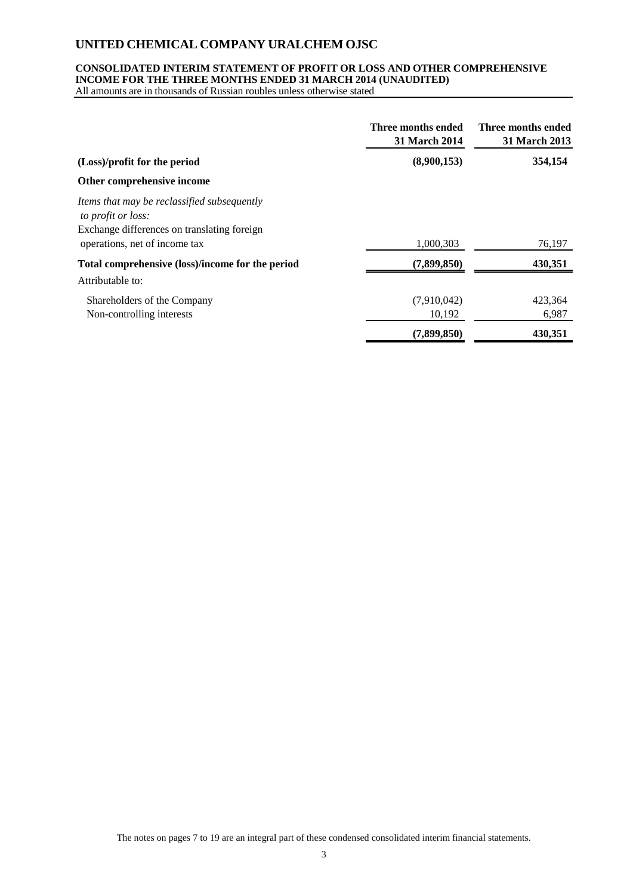### **CONSOLIDATED INTERIM STATEMENT OF PROFIT OR LOSS AND OTHER COMPREHENSIVE INCOME FOR THE THREE MONTHS ENDED 31 MARCH 2014 (UNAUDITED)**

All amounts are in thousands of Russian roubles unless otherwise stated

|                                                                                                                                                   | Three months ended<br><b>31 March 2014</b> | Three months ended<br><b>31 March 2013</b> |
|---------------------------------------------------------------------------------------------------------------------------------------------------|--------------------------------------------|--------------------------------------------|
| (Loss)/profit for the period                                                                                                                      | (8,900,153)                                | 354,154                                    |
| Other comprehensive income                                                                                                                        |                                            |                                            |
| Items that may be reclassified subsequently<br>to profit or loss:<br>Exchange differences on translating foreign<br>operations, net of income tax | 1,000,303                                  | 76,197                                     |
| Total comprehensive (loss)/income for the period                                                                                                  | (7,899,850)                                | 430,351                                    |
| Attributable to:                                                                                                                                  |                                            |                                            |
| Shareholders of the Company<br>Non-controlling interests                                                                                          | (7,910,042)<br>10,192                      | 423,364<br>6,987                           |
|                                                                                                                                                   | (7,899,850)                                | 430,351                                    |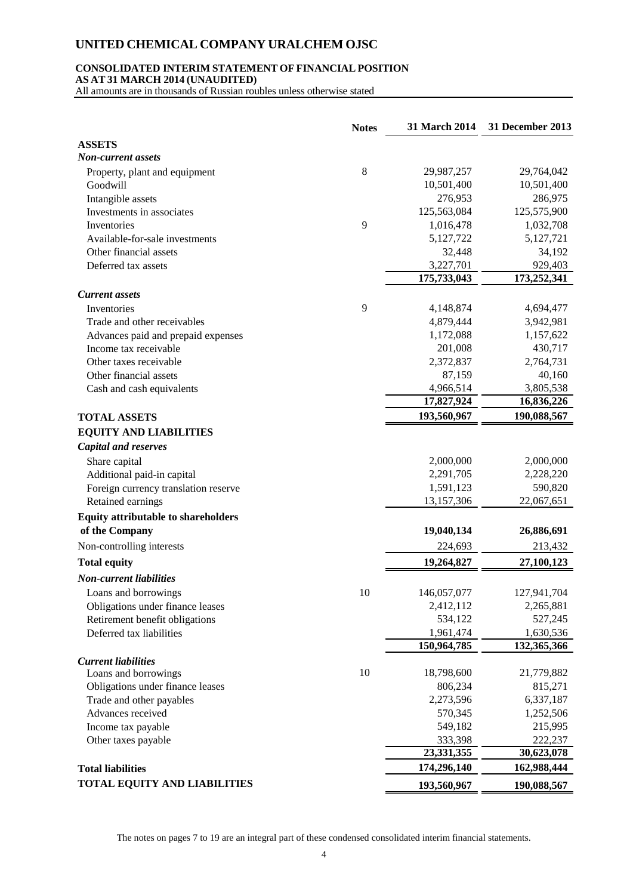### **CONSOLIDATED INTERIM STATEMENT OF FINANCIAL POSITION**

**AS AT 31 MARCH 2014 (UNAUDITED)**

All amounts are in thousands of Russian roubles unless otherwise stated

|                                            | <b>Notes</b> | 31 March 2014 | 31 December 2013 |
|--------------------------------------------|--------------|---------------|------------------|
| <b>ASSETS</b>                              |              |               |                  |
| <b>Non-current assets</b>                  |              |               |                  |
| Property, plant and equipment              | $8\,$        | 29,987,257    | 29,764,042       |
| Goodwill                                   |              | 10,501,400    | 10,501,400       |
| Intangible assets                          |              | 276,953       | 286,975          |
| Investments in associates                  |              | 125,563,084   | 125,575,900      |
| Inventories                                | 9            | 1,016,478     | 1,032,708        |
| Available-for-sale investments             |              | 5,127,722     | 5,127,721        |
| Other financial assets                     |              | 32,448        | 34,192           |
| Deferred tax assets                        |              | 3,227,701     | 929,403          |
|                                            |              | 175,733,043   | 173,252,341      |
| <b>Current</b> assets                      |              |               |                  |
| Inventories                                | 9            | 4,148,874     | 4,694,477        |
| Trade and other receivables                |              | 4,879,444     | 3,942,981        |
| Advances paid and prepaid expenses         |              | 1,172,088     | 1,157,622        |
| Income tax receivable                      |              | 201,008       | 430,717          |
| Other taxes receivable                     |              | 2,372,837     | 2,764,731        |
| Other financial assets                     |              | 87,159        | 40,160           |
| Cash and cash equivalents                  |              | 4,966,514     | 3,805,538        |
|                                            |              | 17,827,924    | 16,836,226       |
| <b>TOTAL ASSETS</b>                        |              | 193,560,967   | 190,088,567      |
| <b>EQUITY AND LIABILITIES</b>              |              |               |                  |
| <b>Capital and reserves</b>                |              |               |                  |
| Share capital                              |              | 2,000,000     | 2,000,000        |
| Additional paid-in capital                 |              | 2,291,705     | 2,228,220        |
| Foreign currency translation reserve       |              | 1,591,123     | 590,820          |
| Retained earnings                          |              | 13,157,306    | 22,067,651       |
|                                            |              |               |                  |
| <b>Equity attributable to shareholders</b> |              |               |                  |
| of the Company                             |              | 19,040,134    | 26,886,691       |
| Non-controlling interests                  |              | 224,693       | 213,432          |
| <b>Total equity</b>                        |              | 19,264,827    | 27,100,123       |
| <b>Non-current liabilities</b>             |              |               |                  |
| Loans and borrowings                       | 10           | 146,057,077   | 127,941,704      |
| Obligations under finance leases           |              | 2,412,112     | 2,265,881        |
| Retirement benefit obligations             |              | 534,122       | 527,245          |
| Deferred tax liabilities                   |              | 1,961,474     | 1,630,536        |
|                                            |              | 150,964,785   | 132,365,366      |
| <b>Current liabilities</b>                 |              |               |                  |
| Loans and borrowings                       | 10           | 18,798,600    | 21,779,882       |
| Obligations under finance leases           |              | 806,234       | 815,271          |
| Trade and other payables                   |              | 2,273,596     | 6,337,187        |
| Advances received                          |              | 570,345       | 1,252,506        |
| Income tax payable                         |              | 549,182       | 215,995          |
| Other taxes payable                        |              | 333,398       | 222,237          |
|                                            |              | 23,331,355    | 30,623,078       |
| <b>Total liabilities</b>                   |              | 174,296,140   | 162,988,444      |
| <b>TOTAL EQUITY AND LIABILITIES</b>        |              | 193,560,967   | 190,088,567      |

The notes on pages 7 to 19 are an integral part of these condensed consolidated interim financial statements.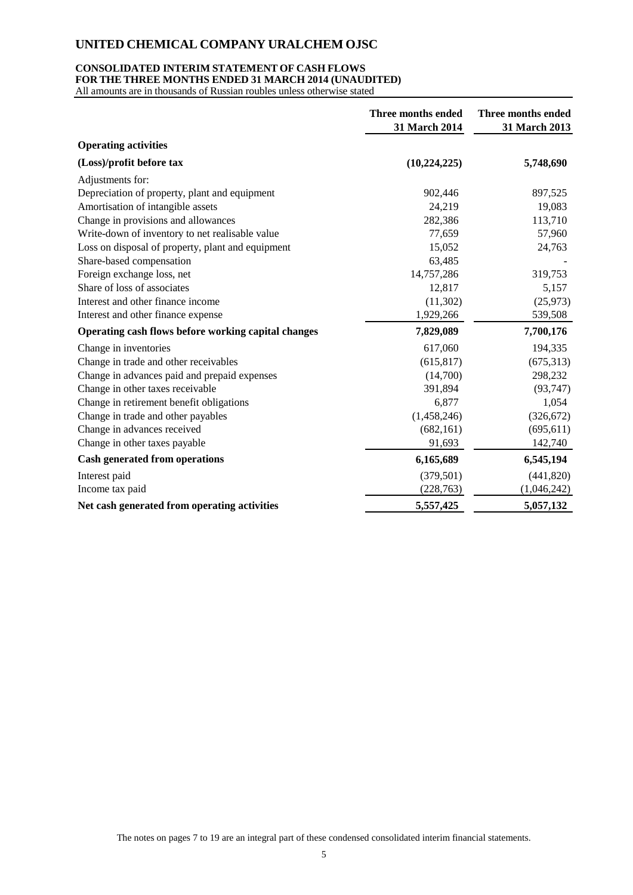### **CONSOLIDATED INTERIM STATEMENT OF CASH FLOWS**

**FOR THE THREE MONTHS ENDED 31 MARCH 2014 (UNAUDITED)**

All amounts are in thousands of Russian roubles unless otherwise stated

|                                                     | <b>Three months ended</b><br>31 March 2014 | Three months ended<br>31 March 2013 |
|-----------------------------------------------------|--------------------------------------------|-------------------------------------|
| <b>Operating activities</b>                         |                                            |                                     |
| (Loss)/profit before tax                            | (10, 224, 225)                             | 5,748,690                           |
| Adjustments for:                                    |                                            |                                     |
| Depreciation of property, plant and equipment       | 902,446                                    | 897,525                             |
| Amortisation of intangible assets                   | 24,219                                     | 19,083                              |
| Change in provisions and allowances                 | 282,386                                    | 113,710                             |
| Write-down of inventory to net realisable value     | 77,659                                     | 57,960                              |
| Loss on disposal of property, plant and equipment   | 15,052                                     | 24,763                              |
| Share-based compensation                            | 63,485                                     |                                     |
| Foreign exchange loss, net                          | 14,757,286                                 | 319,753                             |
| Share of loss of associates                         | 12,817                                     | 5,157                               |
| Interest and other finance income                   | (11,302)                                   | (25, 973)                           |
| Interest and other finance expense                  | 1,929,266                                  | 539,508                             |
| Operating cash flows before working capital changes | 7,829,089                                  | 7,700,176                           |
| Change in inventories                               | 617,060                                    | 194,335                             |
| Change in trade and other receivables               | (615, 817)                                 | (675, 313)                          |
| Change in advances paid and prepaid expenses        | (14,700)                                   | 298,232                             |
| Change in other taxes receivable                    | 391,894                                    | (93, 747)                           |
| Change in retirement benefit obligations            | 6,877                                      | 1,054                               |
| Change in trade and other payables                  | (1,458,246)                                | (326, 672)                          |
| Change in advances received                         | (682, 161)                                 | (695, 611)                          |
| Change in other taxes payable                       | 91,693                                     | 142,740                             |
| <b>Cash generated from operations</b>               | 6,165,689                                  | 6,545,194                           |
| Interest paid                                       | (379, 501)                                 | (441, 820)                          |
| Income tax paid                                     | (228, 763)                                 | (1,046,242)                         |
| Net cash generated from operating activities        | 5,557,425                                  | 5,057,132                           |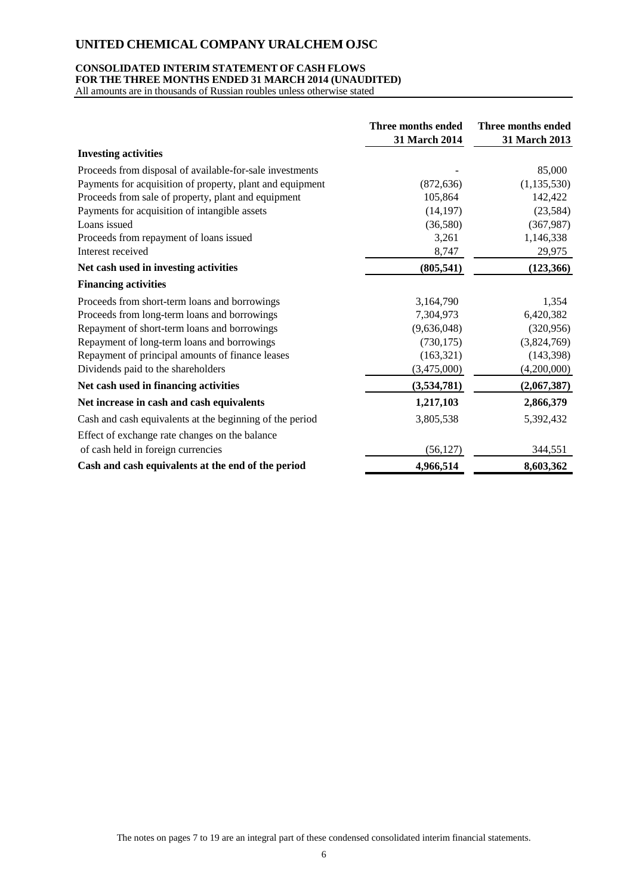### **CONSOLIDATED INTERIM STATEMENT OF CASH FLOWS**

**FOR THE THREE MONTHS ENDED 31 MARCH 2014 (UNAUDITED)**

All amounts are in thousands of Russian roubles unless otherwise stated

|                                                           | Three months ended<br>31 March 2014 | Three months ended<br>31 March 2013 |
|-----------------------------------------------------------|-------------------------------------|-------------------------------------|
| <b>Investing activities</b>                               |                                     |                                     |
| Proceeds from disposal of available-for-sale investments  |                                     | 85,000                              |
| Payments for acquisition of property, plant and equipment | (872, 636)                          | (1, 135, 530)                       |
| Proceeds from sale of property, plant and equipment       | 105,864                             | 142,422                             |
| Payments for acquisition of intangible assets             | (14, 197)                           | (23, 584)                           |
| Loans issued                                              | (36,580)                            | (367, 987)                          |
| Proceeds from repayment of loans issued                   | 3,261                               | 1,146,338                           |
| Interest received                                         | 8,747                               | 29,975                              |
| Net cash used in investing activities                     | (805, 541)                          | (123, 366)                          |
| <b>Financing activities</b>                               |                                     |                                     |
| Proceeds from short-term loans and borrowings             | 3,164,790                           | 1,354                               |
| Proceeds from long-term loans and borrowings              | 7,304,973                           | 6,420,382                           |
| Repayment of short-term loans and borrowings              | (9,636,048)                         | (320, 956)                          |
| Repayment of long-term loans and borrowings               | (730, 175)                          | (3,824,769)                         |
| Repayment of principal amounts of finance leases          | (163, 321)                          | (143, 398)                          |
| Dividends paid to the shareholders                        | (3,475,000)                         | (4,200,000)                         |
| Net cash used in financing activities                     | (3,534,781)                         | (2,067,387)                         |
| Net increase in cash and cash equivalents                 | 1,217,103                           | 2,866,379                           |
| Cash and cash equivalents at the beginning of the period  | 3,805,538                           | 5,392,432                           |
| Effect of exchange rate changes on the balance            |                                     |                                     |
| of cash held in foreign currencies                        | (56, 127)                           | 344,551                             |
| Cash and cash equivalents at the end of the period        | 4,966,514                           | 8,603,362                           |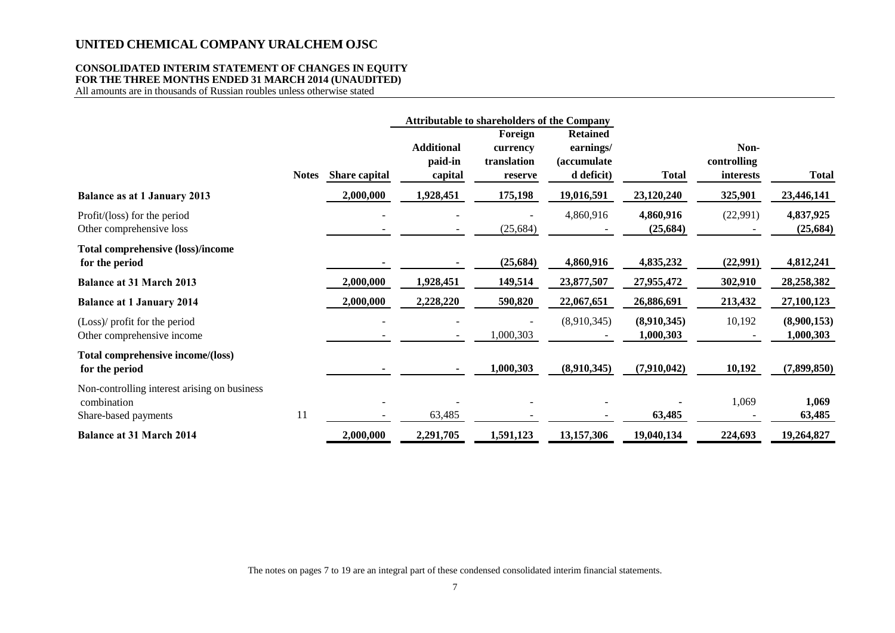#### **CONSOLIDATED INTERIM STATEMENT OF CHANGES IN EQUITY FOR THE THREE MONTHS ENDED 31 MARCH 2014 (UNAUDITED)**

All amounts are in thousands of Russian roubles unless otherwise stated

|                                                                                     |              |               |                                         | <b>Attributable to shareholders of the Company</b> |                                                                   |                          |                                  |                          |
|-------------------------------------------------------------------------------------|--------------|---------------|-----------------------------------------|----------------------------------------------------|-------------------------------------------------------------------|--------------------------|----------------------------------|--------------------------|
|                                                                                     | <b>Notes</b> | Share capital | <b>Additional</b><br>paid-in<br>capital | Foreign<br>currency<br>translation<br>reserve      | <b>Retained</b><br>earnings/<br><i>(accumulate)</i><br>d deficit) | <b>Total</b>             | Non-<br>controlling<br>interests | <b>Total</b>             |
| <b>Balance as at 1 January 2013</b>                                                 |              | 2,000,000     | 1,928,451                               | 175,198                                            | 19,016,591                                                        | 23,120,240               | 325,901                          | 23,446,141               |
| Profit/(loss) for the period<br>Other comprehensive loss                            |              |               |                                         | (25, 684)                                          | 4,860,916                                                         | 4,860,916<br>(25, 684)   | (22,991)                         | 4,837,925<br>(25, 684)   |
| <b>Total comprehensive (loss)/income</b><br>for the period                          |              |               |                                         | (25, 684)                                          | 4,860,916                                                         | 4,835,232                | (22,991)                         | 4,812,241                |
| <b>Balance at 31 March 2013</b>                                                     |              | 2,000,000     | 1,928,451                               | 149,514                                            | 23,877,507                                                        | 27,955,472               | 302,910                          | 28,258,382               |
| <b>Balance at 1 January 2014</b>                                                    |              | 2,000,000     | 2,228,220                               | 590,820                                            | 22,067,651                                                        | 26,886,691               | 213,432                          | 27,100,123               |
| (Loss)/ profit for the period<br>Other comprehensive income                         |              |               |                                         | 1,000,303                                          | (8,910,345)                                                       | (8,910,345)<br>1,000,303 | 10,192                           | (8,900,153)<br>1,000,303 |
| Total comprehensive income/(loss)<br>for the period                                 |              |               |                                         | 1,000,303                                          | (8,910,345)                                                       | (7,910,042)              | 10,192                           | (7,899,850)              |
| Non-controlling interest arising on business<br>combination<br>Share-based payments | 11           |               | 63,485                                  |                                                    |                                                                   | 63,485                   | 1,069                            | 1,069<br>63,485          |
| <b>Balance at 31 March 2014</b>                                                     |              | 2,000,000     | 2,291,705                               | 1,591,123                                          | 13,157,306                                                        | 19,040,134               | 224,693                          | 19,264,827               |

The notes on pages 7 to 19 are an integral part of these condensed consolidated interim financial statements.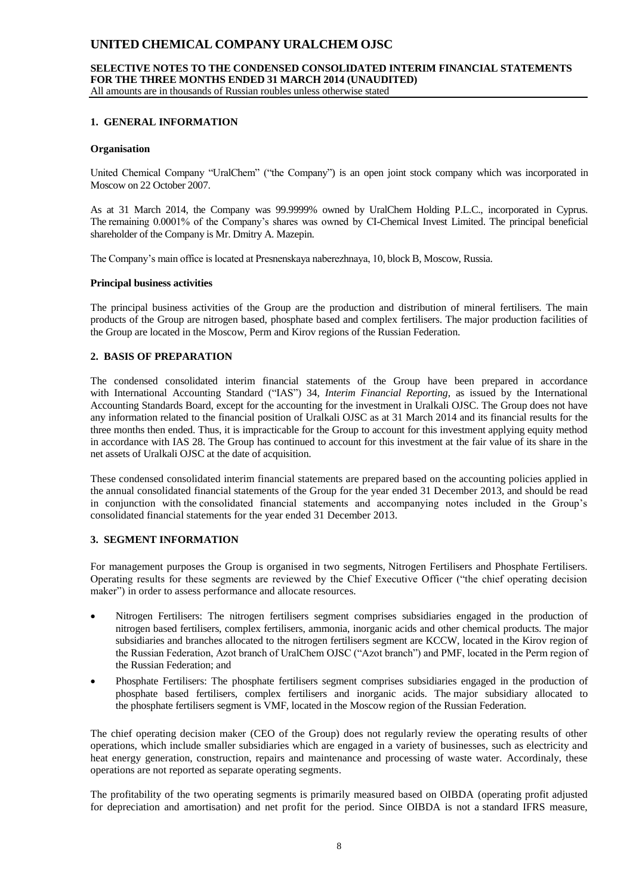# **SELECTIVE NOTES TO THE CONDENSED CONSOLIDATED INTERIM FINANCIAL STATEMENTS FOR THE THREE MONTHS ENDED 31 MARCH 2014 (UNAUDITED)**

All amounts are in thousands of Russian roubles unless otherwise stated

### **1. GENERAL INFORMATION**

#### **Organisation**

United Chemical Company "UralChem" ("the Company") is an open joint stock company which was incorporated in Moscow on 22 October 2007.

As at 31 March 2014, the Company was 99.9999% owned by UralChem Holding P.L.C., incorporated in Cyprus. The remaining 0.0001% of the Company's shares was owned by CI-Chemical Invest Limited. The principal beneficial shareholder of the Company is Mr. Dmitry A. Mazepin.

The Company's main office is located at Presnenskaya naberezhnaya, 10, block B, Moscow, Russia.

#### **Principal business activities**

The principal business activities of the Group are the production and distribution of mineral fertilisers. The main products of the Group are nitrogen based, phosphate based and complex fertilisers. The major production facilities of the Group are located in the Moscow, Perm and Kirov regions of the Russian Federation.

### **2. BASIS OF PREPARATION**

The condensed consolidated interim financial statements of the Group have been prepared in accordance with International Accounting Standard ("IAS") 34, *Interim Financial Reporting*, as issued by the International Accounting Standards Board, except for the accounting for the investment in Uralkali OJSC. The Group does not have any information related to the financial position of Uralkali OJSC as at 31 March 2014 and its financial results for the three months then ended. Thus, it is impracticable for the Group to account for this investment applying equity method in accordance with IAS 28. The Group has continued to account for this investment at the fair value of its share in the net assets of Uralkali OJSC at the date of acquisition.

These condensed consolidated interim financial statements are prepared based on the accounting policies applied in the annual consolidated financial statements of the Group for the year ended 31 December 2013, and should be read in conjunction with the consolidated financial statements and accompanying notes included in the Group's consolidated financial statements for the year ended 31 December 2013.

#### **3. SEGMENT INFORMATION**

For management purposes the Group is organised in two segments, Nitrogen Fertilisers and Phosphate Fertilisers. Operating results for these segments are reviewed by the Chief Executive Officer ("the chief operating decision maker") in order to assess performance and allocate resources.

- Nitrogen Fertilisers: The nitrogen fertilisers segment comprises subsidiaries engaged in the production of nitrogen based fertilisers, complex fertilisers, ammonia, inorganic acids and other chemical products. The major subsidiaries and branches allocated to the nitrogen fertilisers segment are KCCW, located in the Kirov region of the Russian Federation, Azot branch of UralChem OJSC ("Azot branch") and PMF, located in the Perm region of the Russian Federation; and
- Phosphate Fertilisers: The phosphate fertilisers segment comprises subsidiaries engaged in the production of phosphate based fertilisers, complex fertilisers and inorganic acids. The major subsidiary allocated to the phosphate fertilisers segment is VMF, located in the Moscow region of the Russian Federation.

The chief operating decision maker (CEO of the Group) does not regularly review the operating results of other operations, which include smaller subsidiaries which are engaged in a variety of businesses, such as electricity and heat energy generation, construction, repairs and maintenance and processing of waste water. Accordinaly, these operations are not reported as separate operating segments.

The profitability of the two operating segments is primarily measured based on OIBDA (operating profit adjusted for depreciation and amortisation) and net profit for the period. Since OIBDA is not a standard IFRS measure,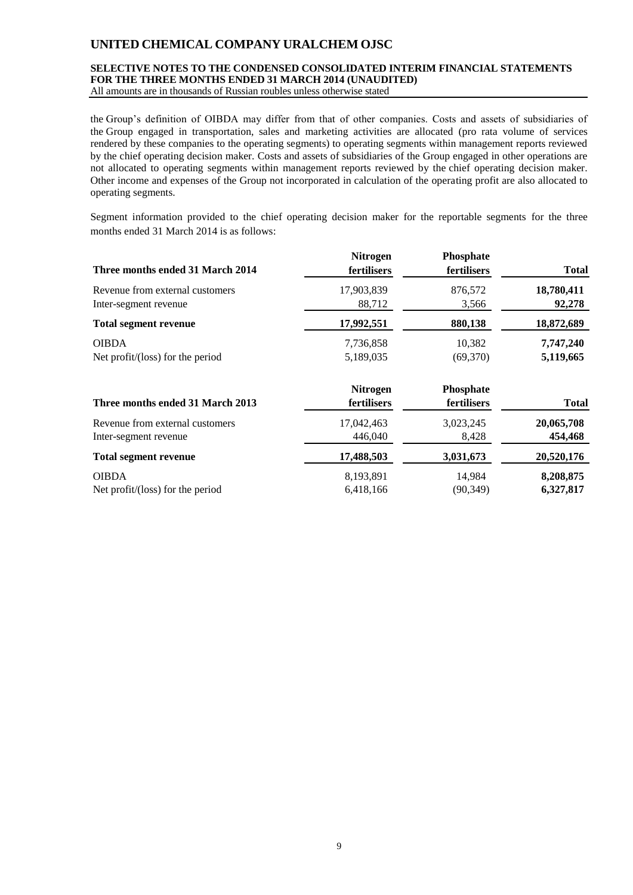### **SELECTIVE NOTES TO THE CONDENSED CONSOLIDATED INTERIM FINANCIAL STATEMENTS FOR THE THREE MONTHS ENDED 31 MARCH 2014 (UNAUDITED)**

All amounts are in thousands of Russian roubles unless otherwise stated

the Group's definition of OIBDA may differ from that of other companies. Costs and assets of subsidiaries of the Group engaged in transportation, sales and marketing activities are allocated (pro rata volume of services rendered by these companies to the operating segments) to operating segments within management reports reviewed by the chief operating decision maker. Costs and assets of subsidiaries of the Group engaged in other operations are not allocated to operating segments within management reports reviewed by the chief operating decision maker. Other income and expenses of the Group not incorporated in calculation of the operating profit are also allocated to operating segments.

Segment information provided to the chief operating decision maker for the reportable segments for the three months ended 31 March 2014 is as follows:

| Three months ended 31 March 2014 | <b>Nitrogen</b><br>fertilisers | Phosphate<br>fertilisers | <b>Total</b> |
|----------------------------------|--------------------------------|--------------------------|--------------|
| Revenue from external customers  | 17,903,839                     | 876,572                  | 18,780,411   |
| Inter-segment revenue            | 88,712                         | 3,566                    | 92,278       |
| <b>Total segment revenue</b>     | 17,992,551                     | 880,138                  | 18,872,689   |
| <b>OIBDA</b>                     | 7,736,858                      | 10,382                   | 7,747,240    |
| Net profit/(loss) for the period | 5,189,035                      | (69,370)                 | 5,119,665    |
| Three months ended 31 March 2013 | <b>Nitrogen</b><br>fertilisers | Phosphate<br>fertilisers | <b>Total</b> |
| Revenue from external customers  | 17,042,463                     | 3,023,245                | 20,065,708   |
| Inter-segment revenue            | 446,040                        | 8,428                    | 454,468      |
| <b>Total segment revenue</b>     | 17,488,503                     | 3,031,673                | 20,520,176   |
| <b>OIBDA</b>                     | 8,193,891                      | 14,984                   | 8,208,875    |
| Net profit/(loss) for the period | 6,418,166                      | (90, 349)                | 6,327,817    |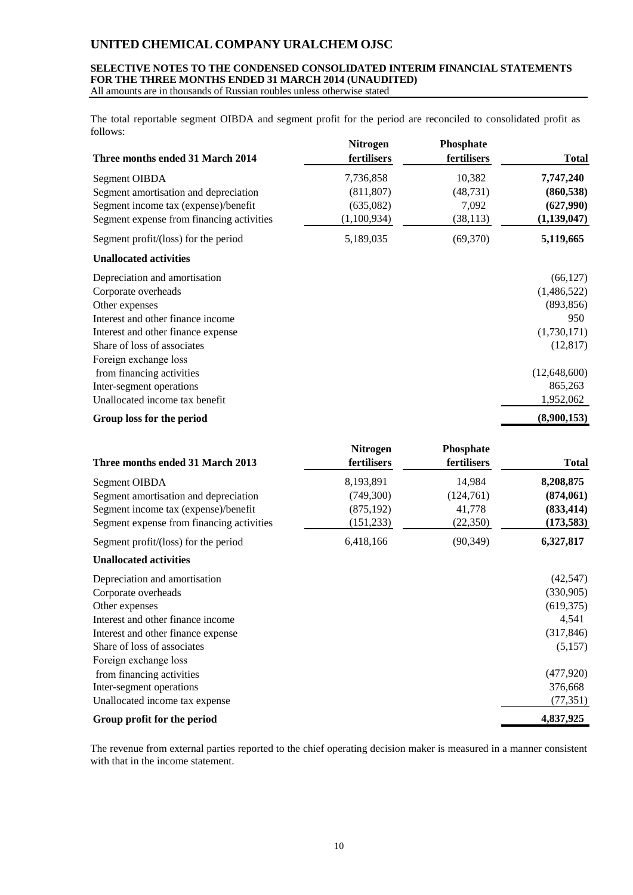#### **SELECTIVE NOTES TO THE CONDENSED CONSOLIDATED INTERIM FINANCIAL STATEMENTS FOR THE THREE MONTHS ENDED 31 MARCH 2014 (UNAUDITED)** All amounts are in thousands of Russian roubles unless otherwise stated

The total reportable segment OIBDA and segment profit for the period are reconciled to consolidated profit as follows:

| Three months ended 31 March 2014          | <b>Nitrogen</b><br>fertilisers | <b>Phosphate</b><br>fertilisers | <b>Total</b>  |
|-------------------------------------------|--------------------------------|---------------------------------|---------------|
| Segment OIBDA                             | 7,736,858                      | 10,382                          | 7,747,240     |
| Segment amortisation and depreciation     | (811, 807)                     | (48, 731)                       | (860, 538)    |
| Segment income tax (expense)/benefit      | (635,082)                      | 7,092                           | (627,990)     |
| Segment expense from financing activities | (1,100,934)                    | (38, 113)                       | (1, 139, 047) |
| Segment profit/(loss) for the period      | 5,189,035                      | (69,370)                        | 5,119,665     |
| <b>Unallocated activities</b>             |                                |                                 |               |
| Depreciation and amortisation             |                                |                                 | (66, 127)     |
| Corporate overheads                       |                                |                                 | (1,486,522)   |
| Other expenses                            |                                |                                 | (893, 856)    |
| Interest and other finance income         |                                |                                 | 950           |
| Interest and other finance expense        |                                |                                 | (1,730,171)   |
| Share of loss of associates               |                                |                                 | (12, 817)     |
| Foreign exchange loss                     |                                |                                 |               |
| from financing activities                 |                                |                                 | (12,648,600)  |
| Inter-segment operations                  |                                |                                 | 865,263       |
| Unallocated income tax benefit            |                                |                                 | 1,952,062     |
| Group loss for the period                 |                                |                                 | (8,900,153)   |

| Three months ended 31 March 2013          | <b>Nitrogen</b><br>fertilisers | Phosphate<br>fertilisers | <b>Total</b> |
|-------------------------------------------|--------------------------------|--------------------------|--------------|
| Segment OIBDA                             | 8,193,891                      | 14,984                   | 8,208,875    |
| Segment amortisation and depreciation     | (749,300)                      | (124,761)                | (874,061)    |
| Segment income tax (expense)/benefit      | (875, 192)                     | 41,778                   | (833, 414)   |
| Segment expense from financing activities | (151, 233)                     | (22,350)                 | (173, 583)   |
| Segment profit/(loss) for the period      | 6,418,166                      | (90, 349)                | 6,327,817    |
| <b>Unallocated activities</b>             |                                |                          |              |
| Depreciation and amortisation             |                                |                          | (42, 547)    |
| Corporate overheads                       |                                |                          | (330,905)    |
| Other expenses                            |                                |                          | (619, 375)   |
| Interest and other finance income         |                                |                          | 4,541        |
| Interest and other finance expense        |                                |                          | (317, 846)   |
| Share of loss of associates               |                                |                          | (5,157)      |
| Foreign exchange loss                     |                                |                          |              |
| from financing activities                 |                                |                          | (477, 920)   |
| Inter-segment operations                  |                                |                          | 376,668      |
| Unallocated income tax expense            |                                |                          | (77, 351)    |
| Group profit for the period               |                                |                          | 4,837,925    |

The revenue from external parties reported to the chief operating decision maker is measured in a manner consistent with that in the income statement.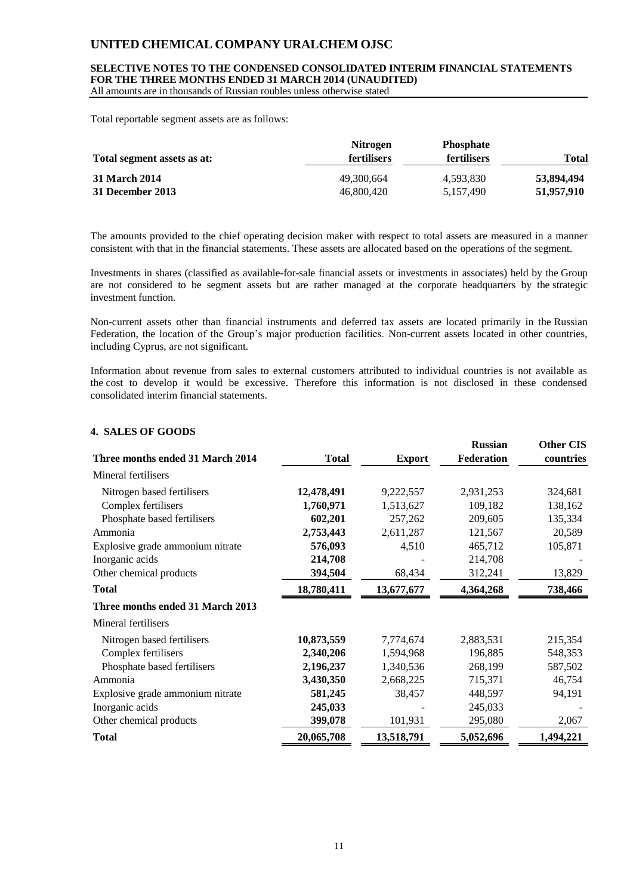### **SELECTIVE NOTES TO THE CONDENSED CONSOLIDATED INTERIM FINANCIAL STATEMENTS FOR THE THREE MONTHS ENDED 31 MARCH 2014 (UNAUDITED)**

All amounts are in thousands of Russian roubles unless otherwise stated

Total reportable segment assets are as follows:

| Total segment assets as at: | <b>Nitrogen</b><br><b>fertilisers</b> | <b>Phosphate</b><br><b>fertilisers</b> | Total      |
|-----------------------------|---------------------------------------|----------------------------------------|------------|
| 31 March 2014               | 49,300,664                            | 4.593.830                              | 53,894,494 |
| 31 December 2013            | 46,800,420                            | 5,157,490                              | 51,957,910 |

The amounts provided to the chief operating decision maker with respect to total assets are measured in a manner consistent with that in the financial statements. These assets are allocated based on the operations of the segment.

Investments in shares (classified as available-for-sale financial assets or investments in associates) held by the Group are not considered to be segment assets but are rather managed at the corporate headquarters by the strategic investment function.

Non-current assets other than financial instruments and deferred tax assets are located primarily in the Russian Federation, the location of the Group's major production facilities. Non-current assets located in other countries, including Cyprus, are not significant.

Information about revenue from sales to external customers attributed to individual countries is not available as the cost to develop it would be excessive. Therefore this information is not disclosed in these condensed consolidated interim financial statements.

#### **4. SALES OF GOODS**

| Three months ended 31 March 2014 | <b>Total</b> | <b>Export</b> | <b>Russian</b><br>Federation | <b>Other CIS</b><br>countries |
|----------------------------------|--------------|---------------|------------------------------|-------------------------------|
|                                  |              |               |                              |                               |
| Mineral fertilisers              |              |               |                              |                               |
| Nitrogen based fertilisers       | 12,478,491   | 9,222,557     | 2,931,253                    | 324,681                       |
| Complex fertilisers              | 1,760,971    | 1,513,627     | 109,182                      | 138,162                       |
| Phosphate based fertilisers      | 602,201      | 257,262       | 209,605                      | 135,334                       |
| Ammonia                          | 2,753,443    | 2,611,287     | 121,567                      | 20,589                        |
| Explosive grade ammonium nitrate | 576,093      | 4,510         | 465,712                      | 105,871                       |
| Inorganic acids                  | 214,708      |               | 214,708                      |                               |
| Other chemical products          | 394,504      | 68,434        | 312,241                      | 13,829                        |
| <b>Total</b>                     | 18,780,411   | 13,677,677    | 4,364,268                    | 738,466                       |
| Three months ended 31 March 2013 |              |               |                              |                               |
| Mineral fertilisers              |              |               |                              |                               |
| Nitrogen based fertilisers       | 10,873,559   | 7,774,674     | 2,883,531                    | 215,354                       |
| Complex fertilisers              | 2,340,206    | 1,594,968     | 196,885                      | 548,353                       |
| Phosphate based fertilisers      | 2,196,237    | 1,340,536     | 268,199                      | 587,502                       |
| Ammonia                          | 3,430,350    | 2,668,225     | 715,371                      | 46,754                        |
| Explosive grade ammonium nitrate | 581,245      | 38,457        | 448,597                      | 94,191                        |
| Inorganic acids                  | 245,033      |               | 245,033                      |                               |
| Other chemical products          | 399,078      | 101,931       | 295,080                      | 2,067                         |
| <b>Total</b>                     | 20,065,708   | 13,518,791    | 5,052,696                    | 1,494,221                     |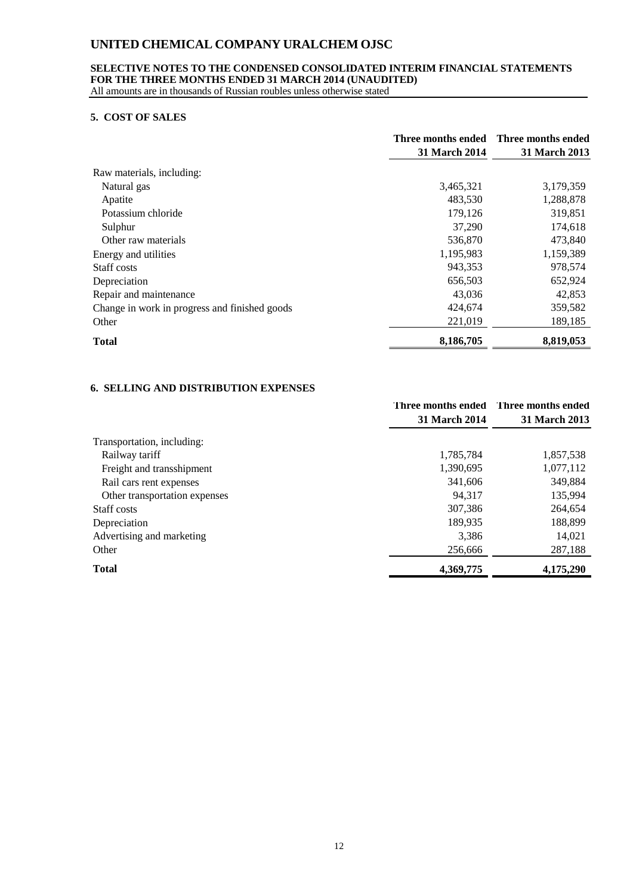### **SELECTIVE NOTES TO THE CONDENSED CONSOLIDATED INTERIM FINANCIAL STATEMENTS FOR THE THREE MONTHS ENDED 31 MARCH 2014 (UNAUDITED)**

All amounts are in thousands of Russian roubles unless otherwise stated

#### **5. COST OF SALES**

|                                               | <b>31 March 2014</b> | Three months ended Three months ended<br><b>31 March 2013</b> |
|-----------------------------------------------|----------------------|---------------------------------------------------------------|
| Raw materials, including:                     |                      |                                                               |
| Natural gas                                   | 3,465,321            | 3,179,359                                                     |
| Apatite                                       | 483,530              | 1,288,878                                                     |
| Potassium chloride                            | 179,126              | 319,851                                                       |
| Sulphur                                       | 37,290               | 174,618                                                       |
| Other raw materials                           | 536,870              | 473,840                                                       |
| Energy and utilities                          | 1,195,983            | 1,159,389                                                     |
| Staff costs                                   | 943,353              | 978,574                                                       |
| Depreciation                                  | 656,503              | 652,924                                                       |
| Repair and maintenance                        | 43,036               | 42,853                                                        |
| Change in work in progress and finished goods | 424,674              | 359,582                                                       |
| Other                                         | 221,019              | 189,185                                                       |
| <b>Total</b>                                  | 8,186,705            | 8,819,053                                                     |

### **6. SELLING AND DISTRIBUTION EXPENSES**

|                               | <b>31 March 2014</b> | Three months ended Three months ended<br><b>31 March 2013</b> |
|-------------------------------|----------------------|---------------------------------------------------------------|
|                               |                      |                                                               |
| Transportation, including:    |                      |                                                               |
| Railway tariff                | 1,785,784            | 1,857,538                                                     |
| Freight and transshipment     | 1,390,695            | 1,077,112                                                     |
| Rail cars rent expenses       | 341,606              | 349,884                                                       |
| Other transportation expenses | 94,317               | 135,994                                                       |
| Staff costs                   | 307.386              | 264,654                                                       |
| Depreciation                  | 189,935              | 188,899                                                       |
| Advertising and marketing     | 3,386                | 14,021                                                        |
| Other                         | 256,666              | 287,188                                                       |
| <b>Total</b>                  | 4,369,775            | 4,175,290                                                     |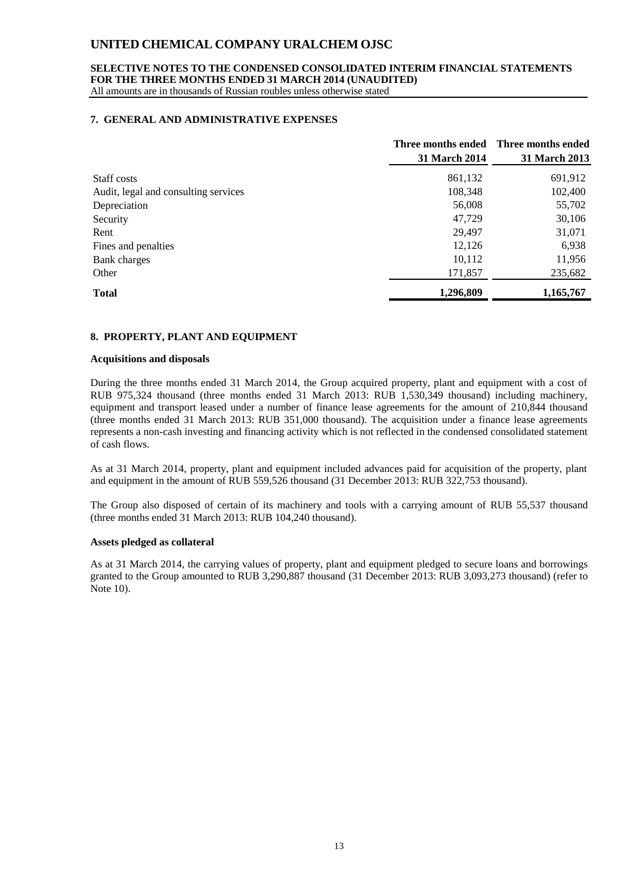#### **SELECTIVE NOTES TO THE CONDENSED CONSOLIDATED INTERIM FINANCIAL STATEMENTS FOR THE THREE MONTHS ENDED 31 MARCH 2014 (UNAUDITED)**

All amounts are in thousands of Russian roubles unless otherwise stated

#### **7. GENERAL AND ADMINISTRATIVE EXPENSES**

|                                      |               | Three months ended Three months ended |
|--------------------------------------|---------------|---------------------------------------|
|                                      | 31 March 2014 | 31 March 2013                         |
| Staff costs                          | 861,132       | 691,912                               |
| Audit, legal and consulting services | 108,348       | 102,400                               |
| Depreciation                         | 56,008        | 55,702                                |
| Security                             | 47,729        | 30,106                                |
| Rent                                 | 29,497        | 31,071                                |
| Fines and penalties                  | 12,126        | 6,938                                 |
| Bank charges                         | 10,112        | 11,956                                |
| Other                                | 171,857       | 235,682                               |
| <b>Total</b>                         | 1,296,809     | 1,165,767                             |

#### **8. PROPERTY, PLANT AND EQUIPMENT**

#### **Acquisitions and disposals**

During the three months ended 31 March 2014, the Group acquired property, plant and equipment with a cost of RUB 975,324 thousand (three months ended 31 March 2013: RUB 1,530,349 thousand) including machinery, equipment and transport leased under a number of finance lease agreements for the amount of 210,844 thousand (three months ended 31 March 2013: RUB 351,000 thousand). The acquisition under a finance lease agreements represents a non-cash investing and financing activity which is not reflected in the condensed consolidated statement of cash flows.

As at 31 March 2014, property, plant and equipment included advances paid for acquisition of the property, plant and equipment in the amount of RUB 559,526 thousand (31 December 2013: RUB 322,753 thousand).

The Group also disposed of certain of its machinery and tools with a carrying amount of RUB 55,537 thousand (three months ended 31 March 2013: RUB 104,240 thousand).

#### **Assets pledged as collateral**

As at 31 March 2014, the carrying values of property, plant and equipment pledged to secure loans and borrowings granted to the Group amounted to RUB 3,290,887 thousand (31 December 2013: RUB 3,093,273 thousand) (refer to Note 10).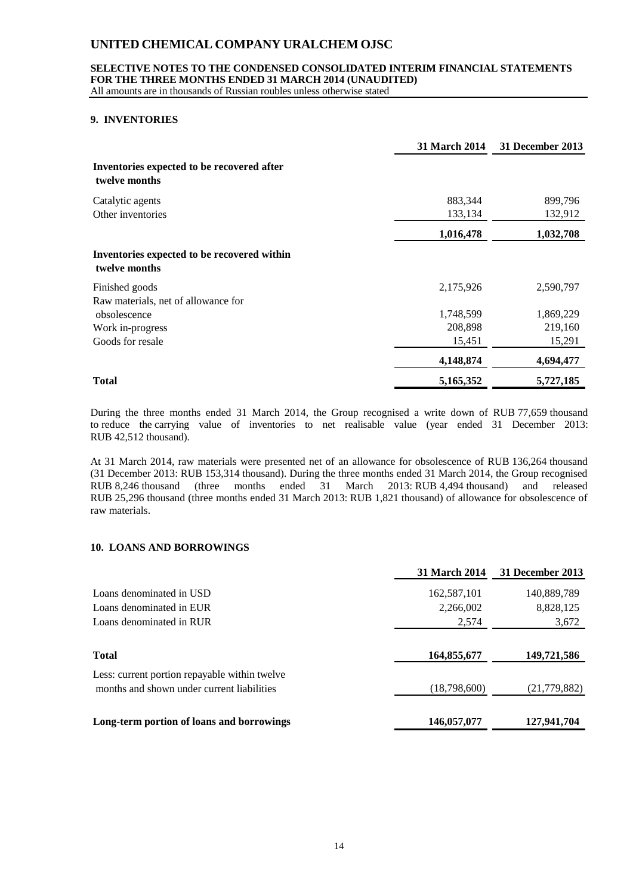#### **SELECTIVE NOTES TO THE CONDENSED CONSOLIDATED INTERIM FINANCIAL STATEMENTS FOR THE THREE MONTHS ENDED 31 MARCH 2014 (UNAUDITED)**

All amounts are in thousands of Russian roubles unless otherwise stated

#### **9. INVENTORIES**

|                                                              | 31 March 2014 | <b>31 December 2013</b> |
|--------------------------------------------------------------|---------------|-------------------------|
| Inventories expected to be recovered after<br>twelve months  |               |                         |
| Catalytic agents                                             | 883,344       | 899,796                 |
| Other inventories                                            | 133,134       | 132,912                 |
|                                                              | 1,016,478     | 1,032,708               |
| Inventories expected to be recovered within<br>twelve months |               |                         |
| Finished goods                                               | 2,175,926     | 2,590,797               |
| Raw materials, net of allowance for                          |               |                         |
| obsolescence                                                 | 1,748,599     | 1,869,229               |
| Work in-progress                                             | 208,898       | 219,160                 |
| Goods for resale                                             | 15,451        | 15,291                  |
|                                                              | 4,148,874     | 4,694,477               |
| <b>Total</b>                                                 | 5,165,352     | 5,727,185               |

During the three months ended 31 March 2014, the Group recognised a write down of RUB 77,659 thousand to reduce the carrying value of inventories to net realisable value (year ended 31 December 2013: RUB 42,512 thousand).

At 31 March 2014, raw materials were presented net of an allowance for obsolescence of RUB 136,264 thousand (31 December 2013: RUB 153,314 thousand). During the three months ended 31 March 2014, the Group recognised RUB 8,246 thousand (three months ended 31 March 2013: RUB 4,494 thousand) and released RUB 25,296 thousand (three months ended 31 March 2013: RUB 1,821 thousand) of allowance for obsolescence of raw materials.

### **10. LOANS AND BORROWINGS**

|                                               | <b>31 March 2014</b> | 31 December 2013 |
|-----------------------------------------------|----------------------|------------------|
| Loans denominated in USD                      | 162,587,101          | 140,889,789      |
| Loans denominated in EUR                      | 2,266,002            | 8,828,125        |
| Loans denominated in RUR                      | 2,574                | 3,672            |
| <b>Total</b>                                  | 164,855,677          | 149,721,586      |
| Less: current portion repayable within twelve |                      |                  |
| months and shown under current liabilities    | (18,798,600)         | (21, 779, 882)   |
| Long-term portion of loans and borrowings     | 146,057,077          | 127,941,704      |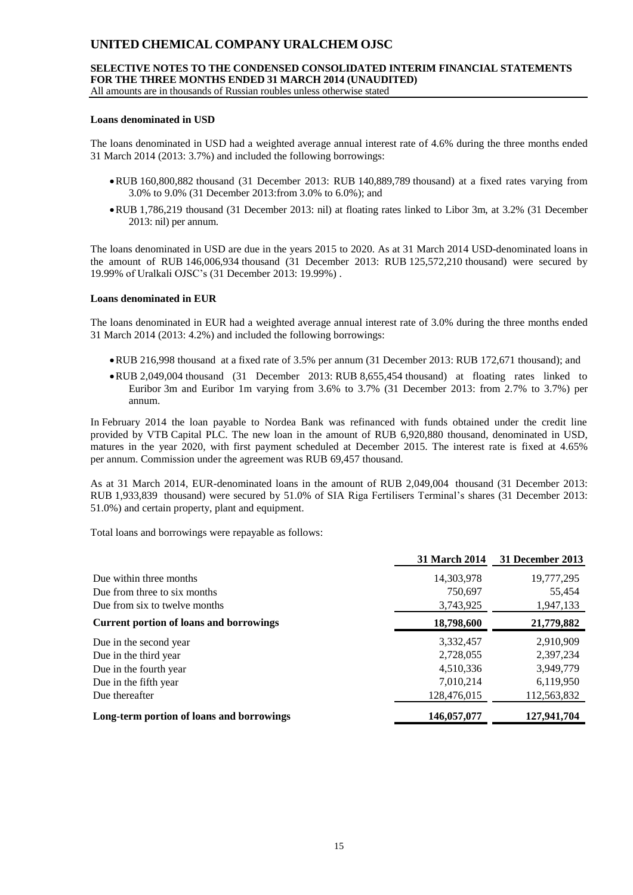# **SELECTIVE NOTES TO THE CONDENSED CONSOLIDATED INTERIM FINANCIAL STATEMENTS FOR THE THREE MONTHS ENDED 31 MARCH 2014 (UNAUDITED)**

All amounts are in thousands of Russian roubles unless otherwise stated

#### **Loans denominated in USD**

The loans denominated in USD had a weighted average annual interest rate of 4.6% during the three months ended 31 March 2014 (2013: 3.7%) and included the following borrowings:

- RUB 160,800,882 thousand (31 December 2013: RUB 140,889,789 thousand) at a fixed rates varying from 3.0% to 9.0% (31 December 2013:from 3.0% to 6.0%); and
- RUB 1,786,219 thousand (31 December 2013: nil) at floating rates linked to Libor 3m, at 3.2% (31 December 2013: nil) per annum.

The loans denominated in USD are due in the years 2015 to 2020. As at 31 March 2014 USD-denominated loans in the amount of RUB 146,006,934 thousand (31 December 2013: RUB 125,572,210 thousand) were secured by 19.99% of Uralkali OJSC's (31 December 2013: 19.99%) .

#### **Loans denominated in EUR**

The loans denominated in EUR had a weighted average annual interest rate of 3.0% during the three months ended 31 March 2014 (2013: 4.2%) and included the following borrowings:

- RUB 216,998 thousand at a fixed rate of 3.5% per annum (31 December 2013: RUB 172,671 thousand); and
- RUB 2,049,004 thousand (31 December 2013: RUB 8,655,454 thousand) at floating rates linked to Euribor 3m and Euribor 1m varying from 3.6% to 3.7% (31 December 2013: from 2.7% to 3.7%) per annum.

In February 2014 the loan payable to Nordea Bank was refinanced with funds obtained under the credit line provided by VTB Capital PLC. The new loan in the amount of RUB 6,920,880 thousand, denominated in USD, matures in the year 2020, with first payment scheduled at December 2015. The interest rate is fixed at 4.65% per annum. Commission under the agreement was RUB 69,457 thousand.

As at 31 March 2014, EUR-denominated loans in the amount of RUB 2,049,004 thousand (31 December 2013: RUB 1,933,839 thousand) were secured by 51.0% of SIA Riga Fertilisers Terminal's shares (31 December 2013: 51.0%) and certain property, plant and equipment.

Total loans and borrowings were repayable as follows:

|                                                | <b>31 March 2014</b> | 31 December 2013 |
|------------------------------------------------|----------------------|------------------|
| Due within three months                        | 14,303,978           | 19,777,295       |
| Due from three to six months                   | 750,697              | 55,454           |
| Due from six to twelve months                  | 3,743,925            | 1,947,133        |
| <b>Current portion of loans and borrowings</b> | 18,798,600           | 21,779,882       |
| Due in the second year                         | 3,332,457            | 2,910,909        |
| Due in the third year                          | 2,728,055            | 2,397,234        |
| Due in the fourth year                         | 4,510,336            | 3,949,779        |
| Due in the fifth year                          | 7,010,214            | 6,119,950        |
| Due thereafter                                 | 128,476,015          | 112,563,832      |
| Long-term portion of loans and borrowings      | 146,057,077          | 127,941,704      |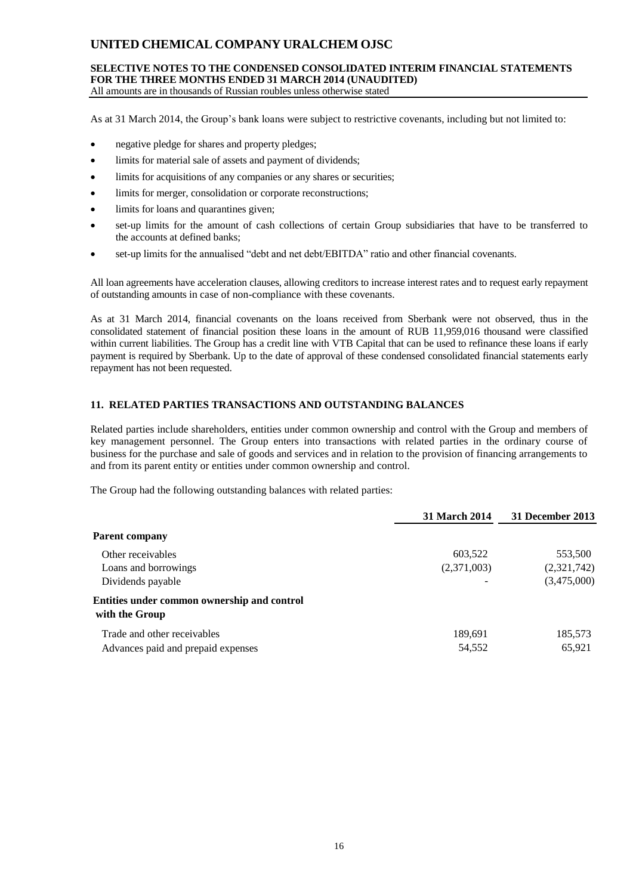#### **SELECTIVE NOTES TO THE CONDENSED CONSOLIDATED INTERIM FINANCIAL STATEMENTS FOR THE THREE MONTHS ENDED 31 MARCH 2014 (UNAUDITED)** All amounts are in thousands of Russian roubles unless otherwise stated

As at 31 March 2014, the Group's bank loans were subject to restrictive covenants, including but not limited to:

- negative pledge for shares and property pledges;
- limits for material sale of assets and payment of dividends;
- limits for acquisitions of any companies or any shares or securities;
- limits for merger, consolidation or corporate reconstructions;
- limits for loans and quarantines given;
- set-up limits for the amount of cash collections of certain Group subsidiaries that have to be transferred to the accounts at defined banks;
- set-up limits for the annualised "debt and net debt/EBITDA" ratio and other financial covenants.

All loan agreements have acceleration clauses, allowing creditors to increase interest rates and to request early repayment of outstanding amounts in case of non-compliance with these covenants.

As at 31 March 2014, financial covenants on the loans received from Sberbank were not observed, thus in the consolidated statement of financial position these loans in the amount of RUB 11,959,016 thousand were classified within current liabilities. The Group has a credit line with VTB Capital that can be used to refinance these loans if early payment is required by Sberbank. Up to the date of approval of these condensed consolidated financial statements early repayment has not been requested.

### **11. RELATED PARTIES TRANSACTIONS AND OUTSTANDING BALANCES**

Related parties include shareholders, entities under common ownership and control with the Group and members of key management personnel. The Group enters into transactions with related parties in the ordinary course of business for the purchase and sale of goods and services and in relation to the provision of financing arrangements to and from its parent entity or entities under common ownership and control.

The Group had the following outstanding balances with related parties:

|                                                               | <b>31 March 2014</b>     | 31 December 2013 |
|---------------------------------------------------------------|--------------------------|------------------|
| <b>Parent company</b>                                         |                          |                  |
| Other receivables                                             | 603,522                  | 553,500          |
| Loans and borrowings                                          | (2,371,003)              | (2,321,742)      |
| Dividends payable                                             | $\overline{\phantom{a}}$ | (3,475,000)      |
| Entities under common ownership and control<br>with the Group |                          |                  |
| Trade and other receivables                                   | 189,691                  | 185,573          |
| Advances paid and prepaid expenses                            | 54,552                   | 65,921           |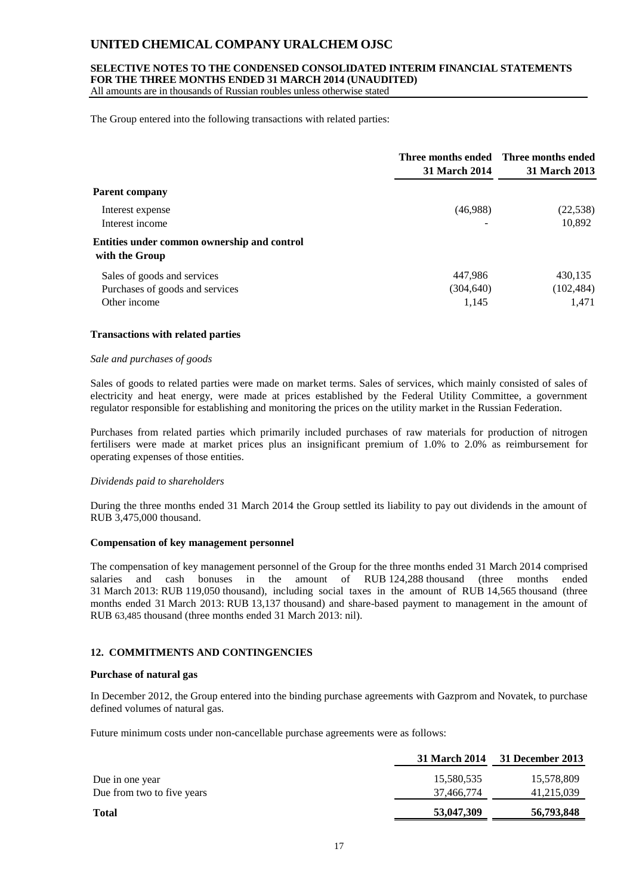### **SELECTIVE NOTES TO THE CONDENSED CONSOLIDATED INTERIM FINANCIAL STATEMENTS FOR THE THREE MONTHS ENDED 31 MARCH 2014 (UNAUDITED)**

All amounts are in thousands of Russian roubles unless otherwise stated

The Group entered into the following transactions with related parties:

|                                                               | 31 March 2014 | Three months ended Three months ended<br>31 March 2013 |
|---------------------------------------------------------------|---------------|--------------------------------------------------------|
| <b>Parent company</b>                                         |               |                                                        |
| Interest expense                                              | (46,988)      | (22, 538)                                              |
| Interest income                                               |               | 10,892                                                 |
| Entities under common ownership and control<br>with the Group |               |                                                        |
| Sales of goods and services                                   | 447,986       | 430,135                                                |
| Purchases of goods and services                               | (304, 640)    | (102, 484)                                             |
| Other income                                                  | 1,145         | 1,471                                                  |

#### **Transactions with related parties**

#### *Sale and purchases of goods*

Sales of goods to related parties were made on market terms. Sales of services, which mainly consisted of sales of electricity and heat energy, were made at prices established by the Federal Utility Committee, a government regulator responsible for establishing and monitoring the prices on the utility market in the Russian Federation.

Purchases from related parties which primarily included purchases of raw materials for production of nitrogen fertilisers were made at market prices plus an insignificant premium of 1.0% to 2.0% as reimbursement for operating expenses of those entities.

#### *Dividends paid to shareholders*

During the three months ended 31 March 2014 the Group settled its liability to pay out dividends in the amount of RUB 3,475,000 thousand.

#### **Compensation of key management personnel**

The compensation of key management personnel of the Group for the three months ended 31 March 2014 comprised salaries and cash bonuses in the amount of RUB 124,288 thousand (three months ended 31 March 2013: RUB 119,050 thousand), including social taxes in the amount of RUB 14,565 thousand (three months ended 31 March 2013: RUB 13,137 thousand) and share-based payment to management in the amount of RUB 63,485 thousand (three months ended 31 March 2013: nil).

#### **12. COMMITMENTS AND CONTINGENCIES**

#### **Purchase of natural gas**

In December 2012, the Group entered into the binding purchase agreements with Gazprom and Novatek, to purchase defined volumes of natural gas.

Future minimum costs under non-cancellable purchase agreements were as follows:

| 31 March 2014 | 31 December 2013 |
|---------------|------------------|
| 15,580,535    | 15,578,809       |
| 37,466,774    | 41,215,039       |
| 53,047,309    | 56,793,848       |
|               |                  |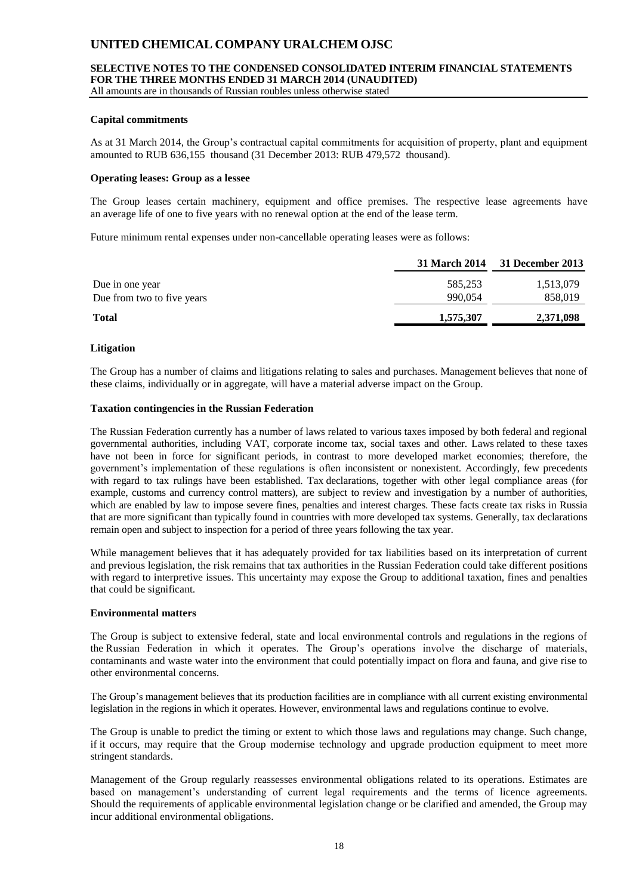### **SELECTIVE NOTES TO THE CONDENSED CONSOLIDATED INTERIM FINANCIAL STATEMENTS FOR THE THREE MONTHS ENDED 31 MARCH 2014 (UNAUDITED)**

All amounts are in thousands of Russian roubles unless otherwise stated

#### **Capital commitments**

As at 31 March 2014, the Group's contractual capital commitments for acquisition of property, plant and equipment amounted to RUB 636,155 thousand (31 December 2013: RUB 479,572 thousand).

#### **Operating leases: Group as a lessee**

The Group leases certain machinery, equipment and office premises. The respective lease agreements have an average life of one to five years with no renewal option at the end of the lease term.

Future minimum rental expenses under non-cancellable operating leases were as follows:

|                            |           | 31 March 2014 31 December 2013 |
|----------------------------|-----------|--------------------------------|
| Due in one year            | 585,253   | 1,513,079                      |
| Due from two to five years | 990,054   | 858,019                        |
| <b>Total</b>               | 1,575,307 | 2,371,098                      |

#### **Litigation**

The Group has a number of claims and litigations relating to sales and purchases. Management believes that none of these claims, individually or in aggregate, will have a material adverse impact on the Group.

#### **Taxation contingencies in the Russian Federation**

The Russian Federation currently has a number of laws related to various taxes imposed by both federal and regional governmental authorities, including VAT, corporate income tax, social taxes and other. Laws related to these taxes have not been in force for significant periods, in contrast to more developed market economies; therefore, the government's implementation of these regulations is often inconsistent or nonexistent. Accordingly, few precedents with regard to tax rulings have been established. Tax declarations, together with other legal compliance areas (for example, customs and currency control matters), are subject to review and investigation by a number of authorities, which are enabled by law to impose severe fines, penalties and interest charges. These facts create tax risks in Russia that are more significant than typically found in countries with more developed tax systems. Generally, tax declarations remain open and subject to inspection for a period of three years following the tax year.

While management believes that it has adequately provided for tax liabilities based on its interpretation of current and previous legislation, the risk remains that tax authorities in the Russian Federation could take different positions with regard to interpretive issues. This uncertainty may expose the Group to additional taxation, fines and penalties that could be significant.

#### **Environmental matters**

The Group is subject to extensive federal, state and local environmental controls and regulations in the regions of the Russian Federation in which it operates. The Group's operations involve the discharge of materials, contaminants and waste water into the environment that could potentially impact on flora and fauna, and give rise to other environmental concerns.

The Group's management believes that its production facilities are in compliance with all current existing environmental legislation in the regions in which it operates. However, environmental laws and regulations continue to evolve.

The Group is unable to predict the timing or extent to which those laws and regulations may change. Such change, if it occurs, may require that the Group modernise technology and upgrade production equipment to meet more stringent standards.

Management of the Group regularly reassesses environmental obligations related to its operations. Estimates are based on management's understanding of current legal requirements and the terms of licence agreements. Should the requirements of applicable environmental legislation change or be clarified and amended, the Group may incur additional environmental obligations.